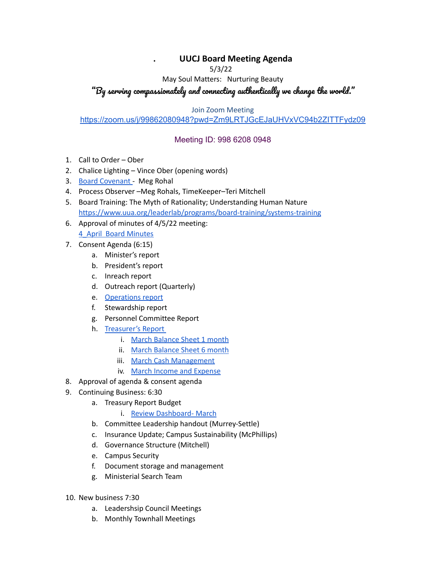## **. UUCJ Board Meeting Agenda**

5/3/22

May Soul Matters: Nurturing Beauty

## "By serving compassionately and connecting authentically we change the world."

Join Zoom Meeting

## <https://zoom.us/j/99862080948?pwd=Zm9LRTJGcEJaUHVxVC94b2ZITTFydz09>

## Meeting ID: 998 6208 0948

- 1. Call to Order Ober
- 2. Chalice Lighting Vince Ober (opening words)
- 3. Board [Covenant](https://www.uucj.org/governance/board-covenant/) Meg Rohal
- 4. Process Observer –Meg Rohals, TimeKeeper–Teri Mitchell
- 5. Board Training: The Myth of Rationality; Understanding Human Nature <https://www.uua.org/leaderlab/programs/board-training/systems-training>
- 6. Approval of minutes of 4/5/22 meeting:

4\_April Board [Minutes](https://docs.google.com/document/d/1c2q7P0XxDnzUYhWL-OJv6WWkORlqvedB/edit?usp=sharing&ouid=108618410980892576551&rtpof=true&sd=true)

- 7. Consent Agenda (6:15)
	- a. Minister's report
	- b. President's report
	- c. Inreach report
	- d. Outreach report (Quarterly)
	- e. [Operations](https://docs.google.com/document/d/1TtzVYIy5SOAdHXj-MdZDfDiydun-rK7goQBhpTXT1QE/edit?usp=sharing) report
	- f. Stewardship report
	- g. Personnel Committee Report
	- h. [Treasurer's](https://docs.google.com/document/d/1cCfFGOR2X-MVDbit_Tjxb2rCrM1xD7V9/edit?usp=sharing&ouid=108618410980892576551&rtpof=true&sd=true) Report
		- i. March [Balance](https://drive.google.com/file/d/1yLe6U3D6O0ZLzIP2aNq6R1-5IE_iBkw0/view?usp=sharing) Sheet 1 month
		- ii. March [Balance](https://drive.google.com/file/d/1A1JlOnWe_-ZbFQtJEzxCP5k3yPuJAqTI/view?usp=sharing) Sheet 6 month
		- iii. March Cash [Management](https://drive.google.com/file/d/1ph0Or19ueXuDdZTytt6Mps-W4697psI_/view?usp=sharing)
		- iv. March Income and [Expense](https://drive.google.com/file/d/1UuTCndvgJ0MTWoR9n0aRtEJz5N2CwBK7/view?usp=sharing)
- 8. Approval of agenda & consent agenda
- 9. Continuing Business: 6:30
	- a. Treasury Report Budget
		- i. Review [Dashboard-](https://docs.google.com/spreadsheets/d/1mLeUvkeYNPI1Anv9B9jZfO1nVg0dXYoi/edit?usp=sharing&ouid=108618410980892576551&rtpof=true&sd=true) March
	- b. Committee Leadership handout (Murrey-Settle)
	- c. Insurance Update; Campus Sustainability (McPhillips)
	- d. Governance Structure (Mitchell)
	- e. Campus Security
	- f. Document storage and management
	- g. Ministerial Search Team
- 10. New business 7:30
	- a. Leadershsip Council Meetings
	- b. Monthly Townhall Meetings